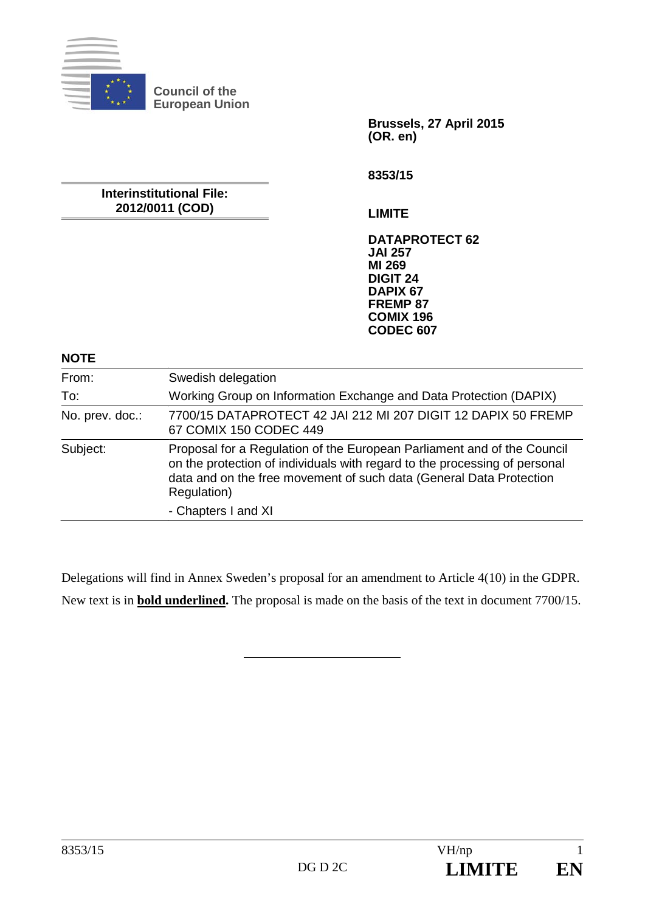

**Council of the European Union** 

> **Brussels, 27 April 2015 (OR. en)**

**8353/15** 

**Interinstitutional File: 2012/0011 (COD)** 

**LIMITE** 

**DATAPROTECT 62 JAI 257 MI 269 DIGIT 24 DAPIX 67 FREMP 87 COMIX 196 CODEC 607**

**NOTE** 

| From:           | Swedish delegation                                                                                                                                                                                                                          |
|-----------------|---------------------------------------------------------------------------------------------------------------------------------------------------------------------------------------------------------------------------------------------|
| To:             | Working Group on Information Exchange and Data Protection (DAPIX)                                                                                                                                                                           |
| No. prev. doc.: | 7700/15 DATAPROTECT 42 JAI 212 MI 207 DIGIT 12 DAPIX 50 FREMP<br>67 COMIX 150 CODEC 449                                                                                                                                                     |
| Subject:        | Proposal for a Regulation of the European Parliament and of the Council<br>on the protection of individuals with regard to the processing of personal<br>data and on the free movement of such data (General Data Protection<br>Regulation) |
|                 | - Chapters I and XI                                                                                                                                                                                                                         |

Delegations will find in Annex Sweden's proposal for an amendment to Article 4(10) in the GDPR.

New text is in **bold underlined.** The proposal is made on the basis of the text in document 7700/15.